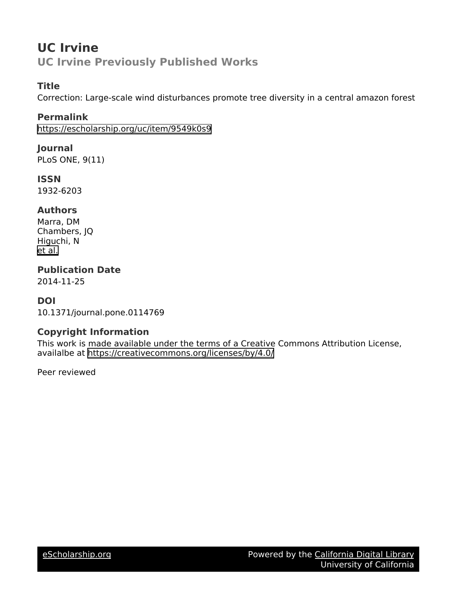## **UC Irvine UC Irvine Previously Published Works**

#### **Title**

Correction: Large-scale wind disturbances promote tree diversity in a central amazon forest

#### **Permalink**

<https://escholarship.org/uc/item/9549k0s9>

#### **Journal**

PLoS ONE, 9(11)

## **ISSN**

1932-6203

#### **Authors**

Marra, DM Chambers, JQ Higuchi, N [et al.](https://escholarship.org/uc/item/9549k0s9#author)

## **Publication Date**

2014-11-25

### **DOI**

10.1371/journal.pone.0114769

### **Copyright Information**

This work is made available under the terms of a Creative Commons Attribution License, availalbe at <https://creativecommons.org/licenses/by/4.0/>

Peer reviewed